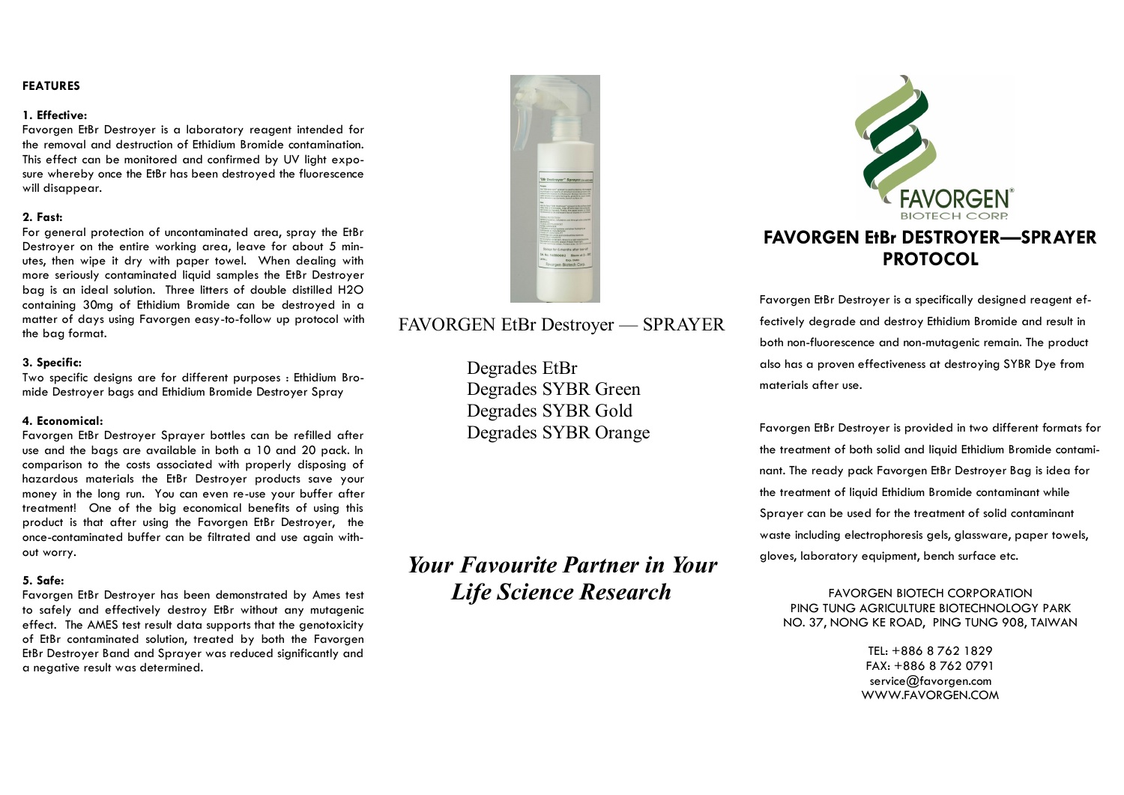## **FEATURES**

#### **1. Effective:**

Favorgen EtBr Destroyer is a laboratory reagent intended for the removal and destruction of Ethidium Bromide contamination. This effect can be monitored and confirmed by UV light exposure whereby once the EtBr has been destroyed the fluorescence will disappear.

## **2. Fast:**

For general protection of uncontaminated area, spray the EtBr Destroyer on the entire working area, leave for about 5 minutes, then wipe it dry with paper towel. When dealing with more seriously contaminated liquid samples the EtBr Destroyer bag is an ideal solution. Three litters of double distilled H2O containing 30mg of Ethidium Bromide can be destroyed in a matter of days using Favorgen easy-to-follow up protocol with the bag format.

#### **3. Specific:**

Two specific designs are for different purposes : Ethidium Bromide Destroyer bags and Ethidium Bromide Destroyer Spray

#### **4. Economical:**

Favorgen EtBr Destroyer Sprayer bottles can be refilled after use and the bags are available in both a 10 and 20 pack. In comparison to the costs associated with properly disposing of hazardous materials the EtBr Destroyer products save your money in the long run. You can even re-use your buffer after treatment! One of the big economical benefits of using this product is that after using the Favorgen EtBr Destroyer, the once-contaminated buffer can be filtrated and use again without worry.

#### **5. Safe:**

Favorgen EtBr Destroyer has been demonstrated by Ames test to safely and effectively destroy EtBr without any mutagenic effect. The AMES test result data supports that the genotoxicity of EtBr contaminated solution, treated by both the Favorgen EtBr Destroyer Band and Sprayer was reduced significantly and a negative result was determined.



# FAVORGEN EtBr Destroyer — SPRAYER

Degrades EtBr Degrades SYBR Green Degrades SYBR Gold Degrades SYBR Orange

*Your Favourite Partner in Your Life Science Research* 



Favorgen EtBr Destroyer is a specifically designed reagent effectively degrade and destroy Ethidium Bromide and result in both non-fluorescence and non-mutagenic remain. The product also has a proven effectiveness at destroying SYBR Dye from materials after use.

Favorgen EtBr Destroyer is provided in two different formats for the treatment of both solid and liquid Ethidium Bromide contaminant. The ready pack Favorgen EtBr Destroyer Bag is idea for the treatment of liquid Ethidium Bromide contaminant while Sprayer can be used for the treatment of solid contaminant waste including electrophoresis gels, glassware, paper towels, gloves, laboratory equipment, bench surface etc.

FAVORGEN BIOTECH CORPORATION PING TUNG AGRICULTURE BIOTECHNOLOGY PARK NO. 37, NONG KE ROAD, PING TUNG 908, TAIWAN

> TEL: +886 8 762 1829 FAX: +886 8 762 0791 service@favorgen.com WWW.FAVORGEN.COM